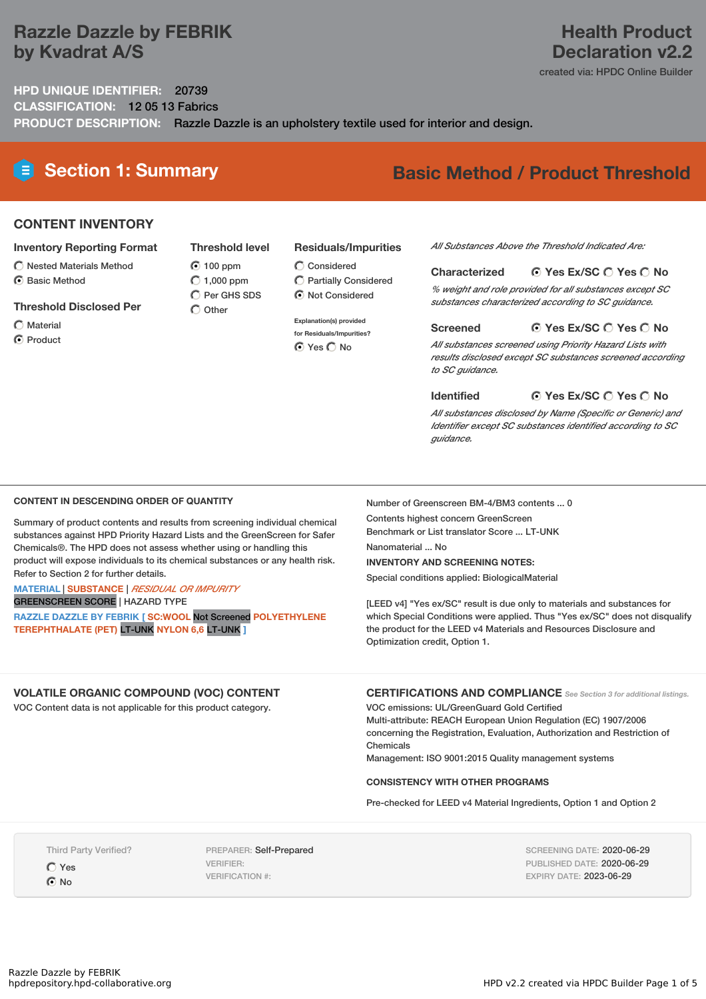## **Razzle Dazzle by FEBRIK by Kvadrat A/S**

### **Health Product Declaration v2.2**

created via: HPDC Online Builder

**HPD UNIQUE IDENTIFIER:** 20739 **CLASSIFICATION:** 12 05 13 Fabrics **PRODUCT DESCRIPTION:** Razzle Dazzle is an upholstery textile used for interior and design.

# **Section 1: Summary Basic Method / Product Threshold**

### **CONTENT INVENTORY**

#### **Inventory Reporting Format**

- $\bigcirc$  Nested Materials Method
- **⊙** Basic Method

#### **Threshold Disclosed Per**

- $\bigcap$  Material
- **⊙** Product

#### **Residuals/Impurities**  $\bigcirc$  Considered

Partially Considered  $\odot$  Not Considered

#### **Explanation(s) provided**

**for Residuals/Impurities? O** Yes O No

#### *All Substances Above the Threshold Indicated Are:*

#### **Yes Ex/SC Yes No Characterized**

*% weight and role provided for all substances except SC substances characterized according to SC guidance.*

#### **Yes Ex/SC Yes No Screened**

*All substances screened using Priority Hazard Lists with results disclosed except SC substances screened according to SC guidance.*

#### **Yes Ex/SC Yes No Identified**

*All substances disclosed by Name (Specific or Generic) and Identifier except SC substances identified according to SC guidance.*

#### **CONTENT IN DESCENDING ORDER OF QUANTITY**

Summary of product contents and results from screening individual chemical substances against HPD Priority Hazard Lists and the GreenScreen for Safer Chemicals®. The HPD does not assess whether using or handling this product will expose individuals to its chemical substances or any health risk. Refer to Section 2 for further details.

#### **MATERIAL** | **SUBSTANCE** | *RESIDUAL OR IMPURITY* GREENSCREEN SCORE | HAZARD TYPE

**RAZZLE DAZZLE BY FEBRIK [ SC:WOOL** Not Screened **POLYETHYLENE TEREPHTHALATE (PET)** LT-UNK **NYLON 6,6** LT-UNK **]**

Number of Greenscreen BM-4/BM3 contents ... 0 Contents highest concern GreenScreen Benchmark or List translator Score ... LT-UNK

Nanomaterial ... No

#### **INVENTORY AND SCREENING NOTES:**

Special conditions applied: BiologicalMaterial

[LEED v4] "Yes ex/SC" result is due only to materials and substances for which Special Conditions were applied. Thus "Yes ex/SC" does not disqualify the product for the LEED v4 Materials and Resources Disclosure and Optimization credit, Option 1.

### **VOLATILE ORGANIC COMPOUND (VOC) CONTENT**

VOC Content data is not applicable for this product category.

**CERTIFICATIONS AND COMPLIANCE** *See Section <sup>3</sup> for additional listings.*

VOC emissions: UL/GreenGuard Gold Certified Multi-attribute: REACH European Union Regulation (EC) 1907/2006 concerning the Registration, Evaluation, Authorization and Restriction of Chemicals

Management: ISO 9001:2015 Quality management systems

#### **CONSISTENCY WITH OTHER PROGRAMS**

Pre-checked for LEED v4 Material Ingredients, Option 1 and Option 2

Third Party Verified?

 $OYes$ **O** No

PREPARER: Self-Prepared VERIFIER: VERIFICATION #:

SCREENING DATE: 2020-06-29 PUBLISHED DATE: 2020-06-29 EXPIRY DATE: 2023-06-29

**Threshold level 100 ppm**  $O$  1,000 ppm  $\overline{O}$  Per GHS SDS

 $\bigcap$  Other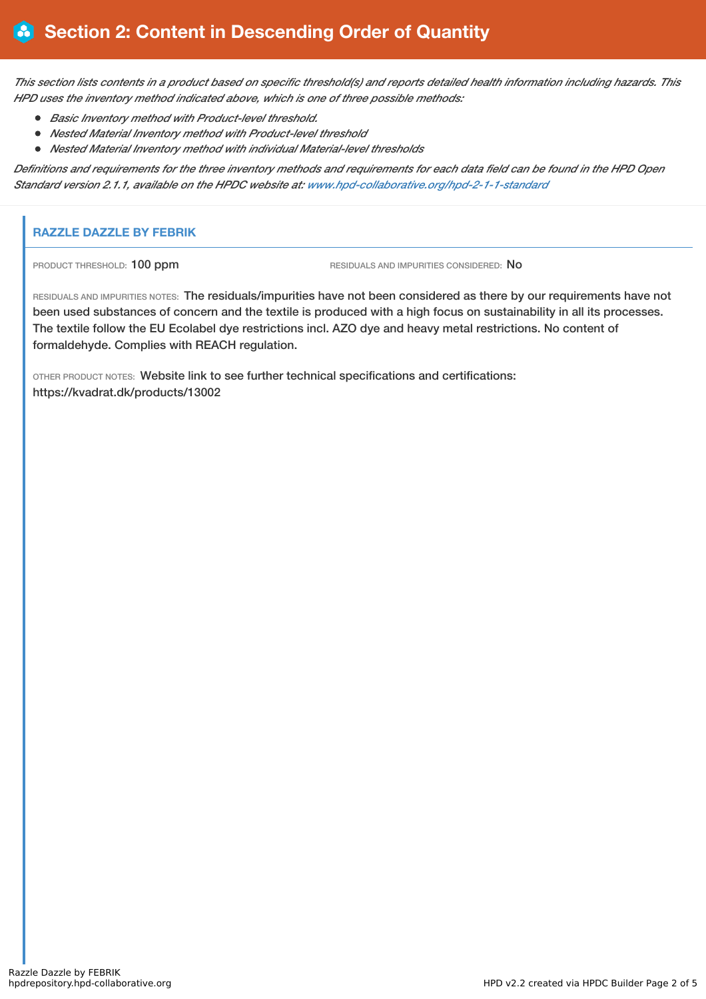This section lists contents in a product based on specific threshold(s) and reports detailed health information including hazards. This *HPD uses the inventory method indicated above, which is one of three possible methods:*

- *Basic Inventory method with Product-level threshold.*
- *Nested Material Inventory method with Product-level threshold*
- *Nested Material Inventory method with individual Material-level thresholds*

Definitions and requirements for the three inventory methods and requirements for each data field can be found in the HPD Open *Standard version 2.1.1, available on the HPDC website at: [www.hpd-collaborative.org/hpd-2-1-1-standard](https://www.hpd-collaborative.org/hpd-2-1-1-standard)*

### **RAZZLE DAZZLE BY FEBRIK**

PRODUCT THRESHOLD: 100 ppm RESIDUALS AND IMPURITIES CONSIDERED: No

RESIDUALS AND IMPURITIES NOTES: The residuals/impurities have not been considered as there by our requirements have not been used substances of concern and the textile is produced with a high focus on sustainability in all its processes. The textile follow the EU Ecolabel dye restrictions incl. AZO dye and heavy metal restrictions. No content of formaldehyde. Complies with REACH regulation.

OTHER PRODUCT NOTES: Website link to see further technical specifications and certifications: https://kvadrat.dk/products/13002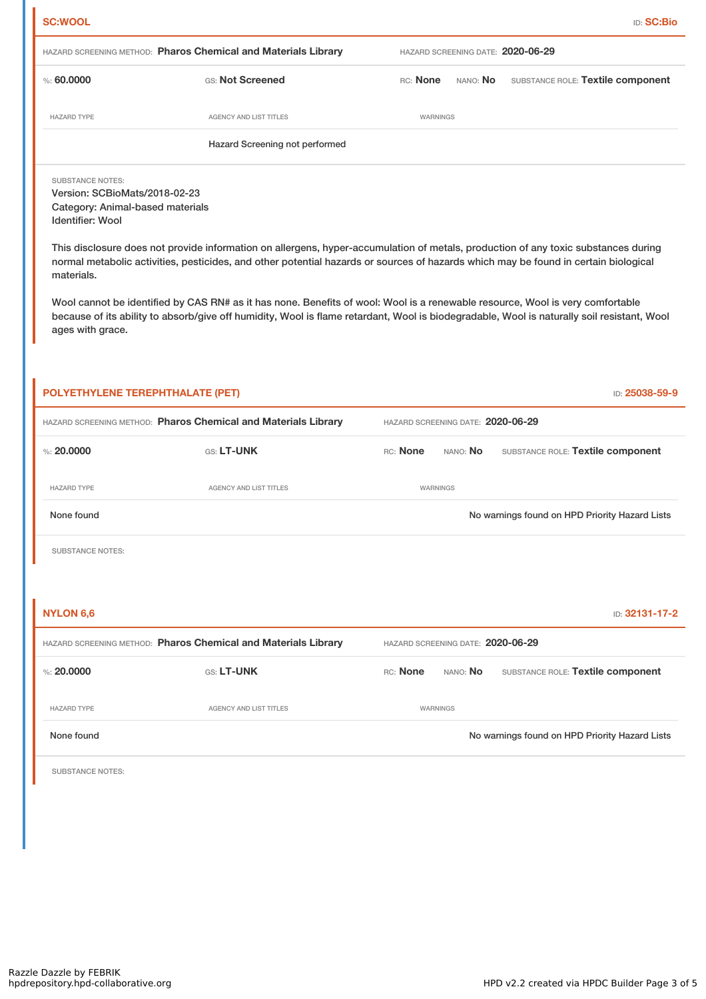| HAZARD SCREENING METHOD: Pharos Chemical and Materials Library<br>HAZARD SCREENING DATE: 2020-06-29<br>%560.0000<br>GS: Not Screened<br>SUBSTANCE ROLE: Textile component<br>RC: None<br>nano: <b>No</b><br><b>HAZARD TYPE</b><br><b>AGENCY AND LIST TITLES</b><br>WARNINGS<br>Hazard Screening not performed<br><b>SUBSTANCE NOTES:</b><br>Version: SCBioMats/2018-02-23<br>Category: Animal-based materials<br>Identifier: Wool<br>This disclosure does not provide information on allergens, hyper-accumulation of metals, production of any toxic substances during<br>normal metabolic activities, pesticides, and other potential hazards or sources of hazards which may be found in certain biological<br>materials.<br>Wool cannot be identified by CAS RN# as it has none. Benefits of wool: Wool is a renewable resource, Wool is very comfortable<br>because of its ability to absorb/give off humidity, Wool is flame retardant, Wool is biodegradable, Wool is naturally soil resistant, Wool<br>ages with grace.<br>POLYETHYLENE TEREPHTHALATE (PET)<br>HAZARD SCREENING METHOD: Pharos Chemical and Materials Library<br>HAZARD SCREENING DATE: 2020-06-29<br>%: $20,0000$<br>GS: LT-UNK<br>RC: None<br>SUBSTANCE ROLE: Textile component<br>NANO: No<br><b>HAZARD TYPE</b><br>AGENCY AND LIST TITLES<br>WARNINGS<br>No warnings found on HPD Priority Hazard Lists<br>None found<br><b>SUBSTANCE NOTES:</b> | <b>SC:WOOL</b>   |                                                                |                                   | <b>ID: SC:Bio</b> |
|------------------------------------------------------------------------------------------------------------------------------------------------------------------------------------------------------------------------------------------------------------------------------------------------------------------------------------------------------------------------------------------------------------------------------------------------------------------------------------------------------------------------------------------------------------------------------------------------------------------------------------------------------------------------------------------------------------------------------------------------------------------------------------------------------------------------------------------------------------------------------------------------------------------------------------------------------------------------------------------------------------------------------------------------------------------------------------------------------------------------------------------------------------------------------------------------------------------------------------------------------------------------------------------------------------------------------------------------------------------------------------------------------------------------------|------------------|----------------------------------------------------------------|-----------------------------------|-------------------|
|                                                                                                                                                                                                                                                                                                                                                                                                                                                                                                                                                                                                                                                                                                                                                                                                                                                                                                                                                                                                                                                                                                                                                                                                                                                                                                                                                                                                                              |                  |                                                                |                                   |                   |
|                                                                                                                                                                                                                                                                                                                                                                                                                                                                                                                                                                                                                                                                                                                                                                                                                                                                                                                                                                                                                                                                                                                                                                                                                                                                                                                                                                                                                              |                  |                                                                |                                   |                   |
|                                                                                                                                                                                                                                                                                                                                                                                                                                                                                                                                                                                                                                                                                                                                                                                                                                                                                                                                                                                                                                                                                                                                                                                                                                                                                                                                                                                                                              |                  |                                                                |                                   |                   |
|                                                                                                                                                                                                                                                                                                                                                                                                                                                                                                                                                                                                                                                                                                                                                                                                                                                                                                                                                                                                                                                                                                                                                                                                                                                                                                                                                                                                                              |                  |                                                                |                                   |                   |
|                                                                                                                                                                                                                                                                                                                                                                                                                                                                                                                                                                                                                                                                                                                                                                                                                                                                                                                                                                                                                                                                                                                                                                                                                                                                                                                                                                                                                              |                  |                                                                |                                   |                   |
|                                                                                                                                                                                                                                                                                                                                                                                                                                                                                                                                                                                                                                                                                                                                                                                                                                                                                                                                                                                                                                                                                                                                                                                                                                                                                                                                                                                                                              |                  |                                                                |                                   |                   |
|                                                                                                                                                                                                                                                                                                                                                                                                                                                                                                                                                                                                                                                                                                                                                                                                                                                                                                                                                                                                                                                                                                                                                                                                                                                                                                                                                                                                                              |                  |                                                                |                                   |                   |
|                                                                                                                                                                                                                                                                                                                                                                                                                                                                                                                                                                                                                                                                                                                                                                                                                                                                                                                                                                                                                                                                                                                                                                                                                                                                                                                                                                                                                              |                  |                                                                |                                   | ID: 25038-59-9    |
|                                                                                                                                                                                                                                                                                                                                                                                                                                                                                                                                                                                                                                                                                                                                                                                                                                                                                                                                                                                                                                                                                                                                                                                                                                                                                                                                                                                                                              |                  |                                                                |                                   |                   |
|                                                                                                                                                                                                                                                                                                                                                                                                                                                                                                                                                                                                                                                                                                                                                                                                                                                                                                                                                                                                                                                                                                                                                                                                                                                                                                                                                                                                                              |                  |                                                                |                                   |                   |
|                                                                                                                                                                                                                                                                                                                                                                                                                                                                                                                                                                                                                                                                                                                                                                                                                                                                                                                                                                                                                                                                                                                                                                                                                                                                                                                                                                                                                              |                  |                                                                |                                   |                   |
|                                                                                                                                                                                                                                                                                                                                                                                                                                                                                                                                                                                                                                                                                                                                                                                                                                                                                                                                                                                                                                                                                                                                                                                                                                                                                                                                                                                                                              |                  |                                                                |                                   |                   |
|                                                                                                                                                                                                                                                                                                                                                                                                                                                                                                                                                                                                                                                                                                                                                                                                                                                                                                                                                                                                                                                                                                                                                                                                                                                                                                                                                                                                                              |                  |                                                                |                                   |                   |
|                                                                                                                                                                                                                                                                                                                                                                                                                                                                                                                                                                                                                                                                                                                                                                                                                                                                                                                                                                                                                                                                                                                                                                                                                                                                                                                                                                                                                              |                  |                                                                |                                   |                   |
|                                                                                                                                                                                                                                                                                                                                                                                                                                                                                                                                                                                                                                                                                                                                                                                                                                                                                                                                                                                                                                                                                                                                                                                                                                                                                                                                                                                                                              | <b>NYLON 6,6</b> | HAZARD SCREENING METHOD: Pharos Chemical and Materials Library | HAZARD SCREENING DATE: 2020-06-29 | ID: 32131-17-2    |

HAZARD TYPE AGENCY AND LIST TITLES WARNINGS

None found Now arrings found No warnings found on HPD Priority Hazard Lists

SUBSTANCE NOTES: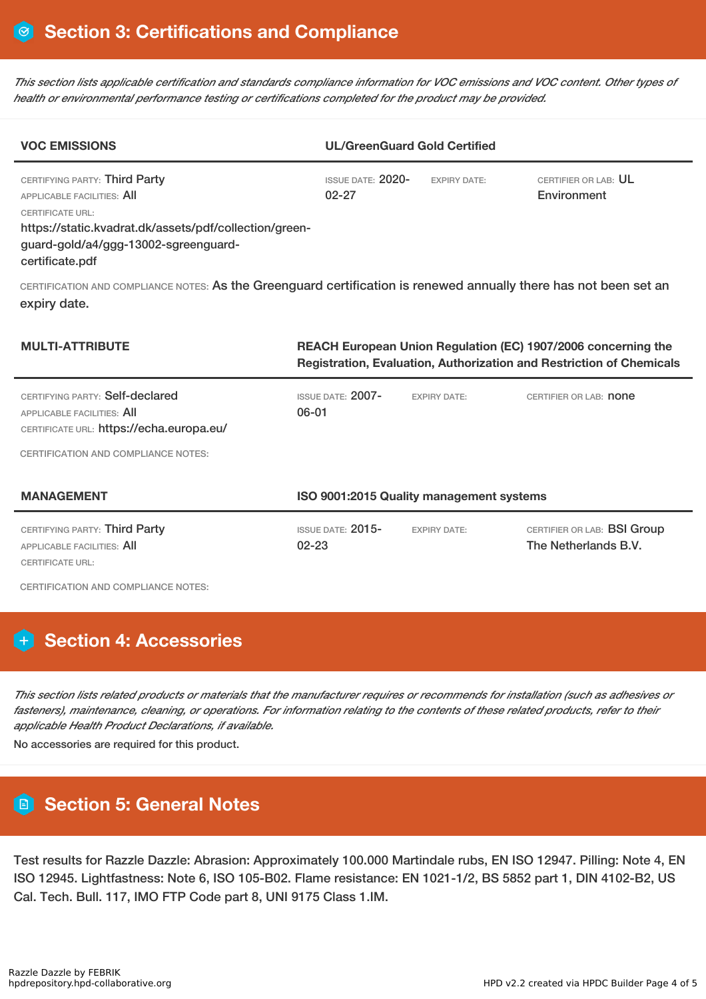This section lists applicable certification and standards compliance information for VOC emissions and VOC content. Other types of *health or environmental performance testing or certifications completed for the product may be provided.*

| <b>VOC EMISSIONS</b>                                                                                                                                                                                               |                                                                                                                                       | <b>UL/GreenGuard Gold Certified</b> |                                     |  |  |
|--------------------------------------------------------------------------------------------------------------------------------------------------------------------------------------------------------------------|---------------------------------------------------------------------------------------------------------------------------------------|-------------------------------------|-------------------------------------|--|--|
| CERTIFYING PARTY: Third Party<br><b>APPLICABLE FACILITIES: AII</b><br><b>CERTIFICATE URL:</b><br>https://static.kvadrat.dk/assets/pdf/collection/green-<br>guard-gold/a4/ggg-13002-sgreenguard-<br>certificate.pdf | <b>ISSUE DATE: 2020-</b><br>$02 - 27$                                                                                                 | <b>EXPIRY DATE:</b>                 | CERTIFIER OR LAB: UL<br>Environment |  |  |
| CERTIFICATION AND COMPLIANCE NOTES: As the Greenguard certification is renewed annually there has not been set an<br>expiry date.                                                                                  |                                                                                                                                       |                                     |                                     |  |  |
| <b>MULTI-ATTRIBUTE</b>                                                                                                                                                                                             | REACH European Union Regulation (EC) 1907/2006 concerning the<br>Registration, Evaluation, Authorization and Restriction of Chemicals |                                     |                                     |  |  |
| CERTIFYING PARTY: Self-declared<br>APPLICABLE FACILITIES: All<br>CERTIFICATE URL: https://echa.europa.eu/                                                                                                          | <b>ISSUE DATE: 2007-</b><br>$06 - 01$                                                                                                 | <b>EXPIRY DATE:</b>                 | CERTIFIER OR LAB: <b>none</b>       |  |  |

CERTIFICATION AND COMPLIANCE NOTES:

| <b>MANAGEMENT</b>                                                                      | ISO 9001:2015 Quality management systems |                     |                                                            |  |
|----------------------------------------------------------------------------------------|------------------------------------------|---------------------|------------------------------------------------------------|--|
| CERTIFYING PARTY: Third Party<br>APPLICABLE FACILITIES: AII<br><b>CERTIFICATE URL:</b> | ISSUE DATE: $2015-$<br>$02 - 23$         | <b>EXPIRY DATE:</b> | CERTIFIER OR LAB: <b>BSI Group</b><br>The Netherlands B.V. |  |

CERTIFICATION AND COMPLIANCE NOTES:

## **Section 4: Accessories**

This section lists related products or materials that the manufacturer requires or recommends for installation (such as adhesives or fasteners), maintenance, cleaning, or operations. For information relating to the contents of these related products, refer to their *applicable Health Product Declarations, if available.*

No accessories are required for this product.

## **Section 5: General Notes**

Test results for Razzle Dazzle: Abrasion: Approximately 100.000 Martindale rubs, EN ISO 12947. Pilling: Note 4, EN ISO 12945. Lightfastness: Note 6, ISO 105-B02. Flame resistance: EN 1021-1/2, BS 5852 part 1, DIN 4102-B2, US Cal. Tech. Bull. 117, IMO FTP Code part 8, UNI 9175 Class 1.IM.